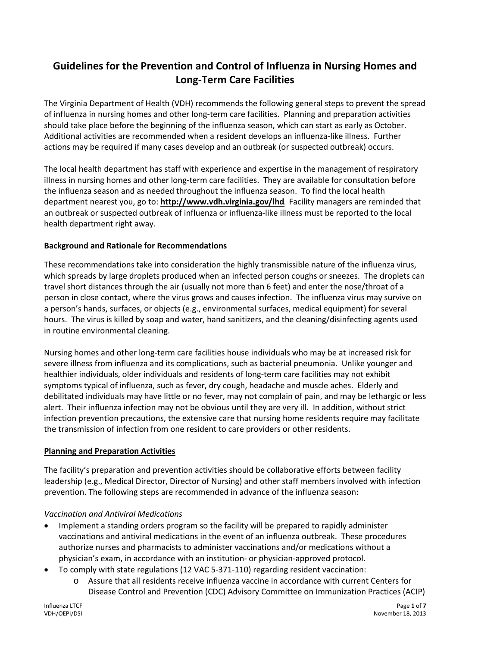# **Guidelines for the Prevention and Control of Influenza in Nursing Homes and Long-Term Care Facilities**

The Virginia Department of Health (VDH) recommends the following general steps to prevent the spread of influenza in nursing homes and other long-term care facilities. Planning and preparation activities should take place before the beginning of the influenza season, which can start as early as October. Additional activities are recommended when a resident develops an influenza-like illness. Further actions may be required if many cases develop and an outbreak (or suspected outbreak) occurs.

The local health department has staff with experience and expertise in the management of respiratory illness in nursing homes and other long-term care facilities. They are available for consultation before the influenza season and as needed throughout the influenza season. To find the local health department nearest you, go to: **<http://www.vdh.virginia.gov/lhd>**. Facility managers are reminded that an outbreak or suspected outbreak of influenza or influenza-like illness must be reported to the local health department right away.

### **Background and Rationale for Recommendations**

These recommendations take into consideration the highly transmissible nature of the influenza virus, which spreads by large droplets produced when an infected person coughs or sneezes. The droplets can travel short distances through the air (usually not more than 6 feet) and enter the nose/throat of a person in close contact, where the virus grows and causes infection. The influenza virus may survive on a person's hands, surfaces, or objects (e.g., environmental surfaces, medical equipment) for several hours. The virus is killed by soap and water, hand sanitizers, and the cleaning/disinfecting agents used in routine environmental cleaning.

Nursing homes and other long-term care facilities house individuals who may be at increased risk for severe illness from influenza and its complications, such as bacterial pneumonia. Unlike younger and healthier individuals, older individuals and residents of long-term care facilities may not exhibit symptoms typical of influenza, such as fever, dry cough, headache and muscle aches. Elderly and debilitated individuals may have little or no fever, may not complain of pain, and may be lethargic or less alert. Their influenza infection may not be obvious until they are very ill. In addition, without strict infection prevention precautions, the extensive care that nursing home residents require may facilitate the transmission of infection from one resident to care providers or other residents.

#### **Planning and Preparation Activities**

The facility's preparation and prevention activities should be collaborative efforts between facility leadership (e.g., Medical Director, Director of Nursing) and other staff members involved with infection prevention. The following steps are recommended in advance of the influenza season:

### *Vaccination and Antiviral Medications*

- Implement a standing orders program so the facility will be prepared to rapidly administer vaccinations and antiviral medications in the event of an influenza outbreak. These procedures authorize nurses and pharmacists to administer vaccinations and/or medications without a physician's exam, in accordance with an institution- or physician-approved protocol.
- To comply with state regulations (12 VAC 5-371-110) regarding resident vaccination:
	- o Assure that all residents receive influenza vaccine in accordance with current Centers for Disease Control and Prevention (CDC) Advisory Committee on Immunization Practices (ACIP)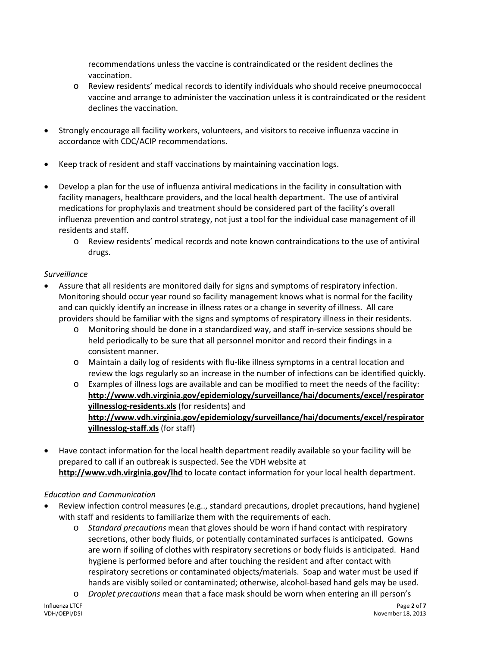recommendations unless the vaccine is contraindicated or the resident declines the vaccination.

- o Review residents' medical records to identify individuals who should receive pneumococcal vaccine and arrange to administer the vaccination unless it is contraindicated or the resident declines the vaccination.
- Strongly encourage all facility workers, volunteers, and visitors to receive influenza vaccine in accordance with CDC/ACIP recommendations.
- Keep track of resident and staff vaccinations by maintaining vaccination logs.
- Develop a plan for the use of influenza antiviral medications in the facility in consultation with facility managers, healthcare providers, and the local health department. The use of antiviral medications for prophylaxis and treatment should be considered part of the facility's overall influenza prevention and control strategy, not just a tool for the individual case management of ill residents and staff.
	- o Review residents' medical records and note known contraindications to the use of antiviral drugs.

# *Surveillance*

- Assure that all residents are monitored daily for signs and symptoms of respiratory infection. Monitoring should occur year round so facility management knows what is normal for the facility and can quickly identify an increase in illness rates or a change in severity of illness. All care providers should be familiar with the signs and symptoms of respiratory illness in their residents.
	- o Monitoring should be done in a standardized way, and staff in-service sessions should be held periodically to be sure that all personnel monitor and record their findings in a consistent manner.
	- o Maintain a daily log of residents with flu-like illness symptoms in a central location and review the logs regularly so an increase in the number of infections can be identified quickly.
	- o Examples of illness logs are available and can be modified to meet the needs of the facility: **[http://www.vdh.virginia.gov/epidemiology/surveillance/hai/documents/excel/respirator](http://www.vdh.virginia.gov/epidemiology/surveillance/hai/documents/excel/respiratoryillnesslog-residents.xls) [yillnesslog-residents.xls](http://www.vdh.virginia.gov/epidemiology/surveillance/hai/documents/excel/respiratoryillnesslog-residents.xls)** (for residents) and **[http://www.vdh.virginia.gov/epidemiology/surveillance/hai/documents/excel/respirator](http://www.vdh.virginia.gov/epidemiology/surveillance/hai/documents/excel/respiratoryillnesslog-staff.xls) [yillnesslog-staff.xls](http://www.vdh.virginia.gov/epidemiology/surveillance/hai/documents/excel/respiratoryillnesslog-staff.xls)** (for staff)
- Have contact information for the local health department readily available so your facility will be prepared to call if an outbreak is suspected. See the VDH website at **<http://www.vdh.virginia.gov/lhd>** to locate contact information for your local health department.

### *Education and Communication*

- Review infection control measures (e.g.., standard precautions, droplet precautions, hand hygiene) with staff and residents to familiarize them with the requirements of each.
	- o *Standard precautions* mean that gloves should be worn if hand contact with respiratory secretions, other body fluids, or potentially contaminated surfaces is anticipated. Gowns are worn if soiling of clothes with respiratory secretions or body fluids is anticipated. Hand hygiene is performed before and after touching the resident and after contact with respiratory secretions or contaminated objects/materials. Soap and water must be used if hands are visibly soiled or contaminated; otherwise, alcohol-based hand gels may be used.
	- o *Droplet precautions* mean that a face mask should be worn when entering an ill person's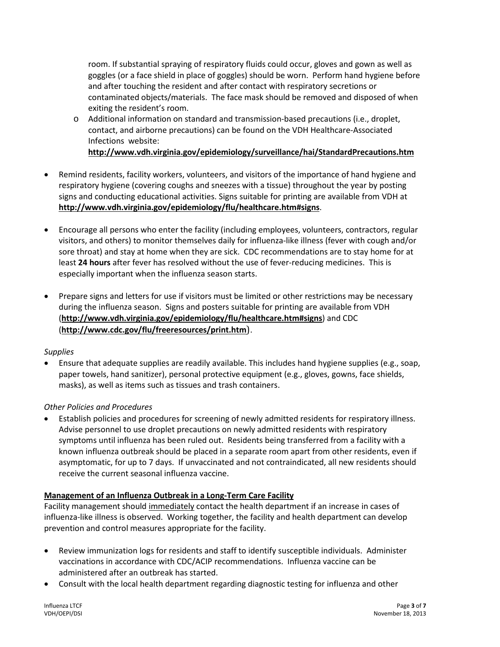room. If substantial spraying of respiratory fluids could occur, gloves and gown as well as goggles (or a face shield in place of goggles) should be worn. Perform hand hygiene before and after touching the resident and after contact with respiratory secretions or contaminated objects/materials. The face mask should be removed and disposed of when exiting the resident's room.

o Additional information on standard and transmission-based precautions (i.e., droplet, contact, and airborne precautions) can be found on the VDH Healthcare-Associated Infections website:

**<http://www.vdh.virginia.gov/epidemiology/surveillance/hai/StandardPrecautions.htm>**

- Remind residents, facility workers, volunteers, and visitors of the importance of hand hygiene and respiratory hygiene (covering coughs and sneezes with a tissue) throughout the year by posting signs and conducting educational activities. Signs suitable for printing are available from VDH at **http://www.vdh.virginia.gov/epidemiology/flu/healthcare.htm#signs**.
- Encourage all persons who enter the facility (including employees, volunteers, contractors, regular visitors, and others) to monitor themselves daily for influenza-like illness (fever with cough and/or sore throat) and stay at home when they are sick. CDC recommendations are to stay home for at least **24 hours** after fever has resolved without the use of fever-reducing medicines. This is especially important when the influenza season starts.
- Prepare signs and letters for use if visitors must be limited or other restrictions may be necessary during the influenza season. Signs and posters suitable for printing are available from VDH (**http://www.vdh.virginia.gov/epidemiology/flu/healthcare.htm#signs**) and CDC (**<http://www.cdc.gov/flu/freeresources/print.htm>**).

### *Supplies*

• Ensure that adequate supplies are readily available. This includes hand hygiene supplies (e.g., soap, paper towels, hand sanitizer), personal protective equipment (e.g., gloves, gowns, face shields, masks), as well as items such as tissues and trash containers.

### *Other Policies and Procedures*

• Establish policies and procedures for screening of newly admitted residents for respiratory illness. Advise personnel to use droplet precautions on newly admitted residents with respiratory symptoms until influenza has been ruled out. Residents being transferred from a facility with a known influenza outbreak should be placed in a separate room apart from other residents, even if asymptomatic, for up to 7 days. If unvaccinated and not contraindicated, all new residents should receive the current seasonal influenza vaccine.

### **Management of an Influenza Outbreak in a Long-Term Care Facility**

Facility management should immediately contact the health department if an increase in cases of influenza-like illness is observed. Working together, the facility and health department can develop prevention and control measures appropriate for the facility.

- Review immunization logs for residents and staff to identify susceptible individuals. Administer vaccinations in accordance with CDC/ACIP recommendations. Influenza vaccine can be administered after an outbreak has started.
- Consult with the local health department regarding diagnostic testing for influenza and other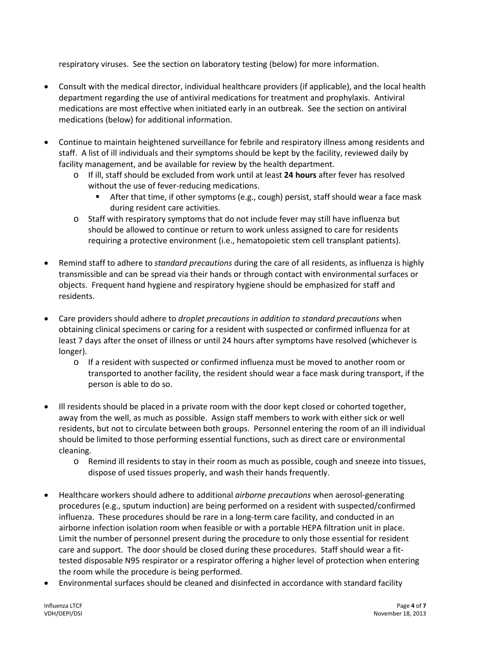respiratory viruses. See the section on laboratory testing (below) for more information.

- Consult with the medical director, individual healthcare providers (if applicable), and the local health department regarding the use of antiviral medications for treatment and prophylaxis. Antiviral medications are most effective when initiated early in an outbreak. See the section on antiviral medications (below) for additional information.
- Continue to maintain heightened surveillance for febrile and respiratory illness among residents and staff. A list of ill individuals and their symptoms should be kept by the facility, reviewed daily by facility management, and be available for review by the health department.
	- o If ill, staff should be excluded from work until at least **24 hours** after fever has resolved without the use of fever-reducing medications.
		- After that time, if other symptoms (e.g., cough) persist, staff should wear a face mask during resident care activities.
	- o Staff with respiratory symptoms that do not include fever may still have influenza but should be allowed to continue or return to work unless assigned to care for residents requiring a protective environment (i.e., hematopoietic stem cell transplant patients).
- Remind staff to adhere to *standard precautions* during the care of all residents, as influenza is highly transmissible and can be spread via their hands or through contact with environmental surfaces or objects. Frequent hand hygiene and respiratory hygiene should be emphasized for staff and residents.
- Care providers should adhere to *droplet precautions in addition to standard precautions* when obtaining clinical specimens or caring for a resident with suspected or confirmed influenza for at least 7 days after the onset of illness or until 24 hours after symptoms have resolved (whichever is longer).
	- o If a resident with suspected or confirmed influenza must be moved to another room or transported to another facility, the resident should wear a face mask during transport, if the person is able to do so.
- Ill residents should be placed in a private room with the door kept closed or cohorted together, away from the well, as much as possible. Assign staff members to work with either sick or well residents, but not to circulate between both groups. Personnel entering the room of an ill individual should be limited to those performing essential functions, such as direct care or environmental cleaning.
	- o Remind ill residents to stay in their room as much as possible, cough and sneeze into tissues, dispose of used tissues properly, and wash their hands frequently.
- Healthcare workers should adhere to additional *airborne precautions* when aerosol-generating procedures (e.g., sputum induction) are being performed on a resident with suspected/confirmed influenza. These procedures should be rare in a long-term care facility, and conducted in an airborne infection isolation room when feasible or with a portable HEPA filtration unit in place. Limit the number of personnel present during the procedure to only those essential for resident care and support. The door should be closed during these procedures. Staff should wear a fittested disposable N95 respirator or a respirator offering a higher level of protection when entering the room while the procedure is being performed.
- Environmental surfaces should be cleaned and disinfected in accordance with standard facility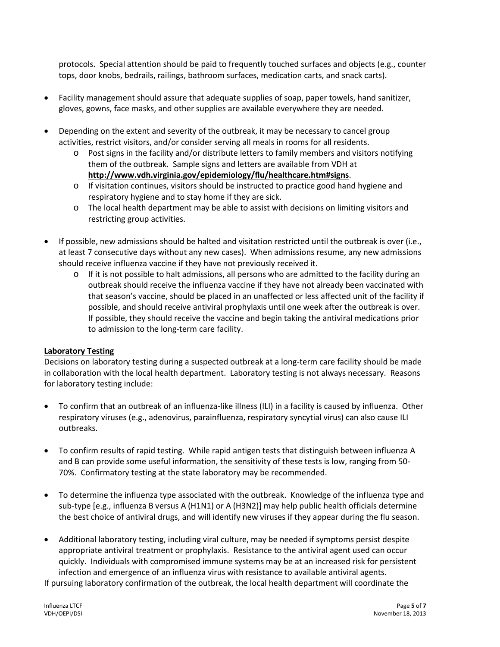protocols. Special attention should be paid to frequently touched surfaces and objects (e.g., counter tops, door knobs, bedrails, railings, bathroom surfaces, medication carts, and snack carts).

- Facility management should assure that adequate supplies of soap, paper towels, hand sanitizer, gloves, gowns, face masks, and other supplies are available everywhere they are needed.
- Depending on the extent and severity of the outbreak, it may be necessary to cancel group activities, restrict visitors, and/or consider serving all meals in rooms for all residents.
	- o Post signs in the facility and/or distribute letters to family members and visitors notifying them of the outbreak. Sample signs and letters are available from VDH at **http://www.vdh.virginia.gov/epidemiology/flu/healthcare.htm#signs**.
	- $\circ$  If visitation continues, visitors should be instructed to practice good hand hygiene and respiratory hygiene and to stay home if they are sick.
	- $\circ$  The local health department may be able to assist with decisions on limiting visitors and restricting group activities.
- If possible, new admissions should be halted and visitation restricted until the outbreak is over (i.e., at least 7 consecutive days without any new cases). When admissions resume, any new admissions should receive influenza vaccine if they have not previously received it.
	- $\circ$  If it is not possible to halt admissions, all persons who are admitted to the facility during an outbreak should receive the influenza vaccine if they have not already been vaccinated with that season's vaccine, should be placed in an unaffected or less affected unit of the facility if possible, and should receive antiviral prophylaxis until one week after the outbreak is over. If possible, they should receive the vaccine and begin taking the antiviral medications prior to admission to the long-term care facility.

### **Laboratory Testing**

Decisions on laboratory testing during a suspected outbreak at a long-term care facility should be made in collaboration with the local health department. Laboratory testing is not always necessary. Reasons for laboratory testing include:

- To confirm that an outbreak of an influenza-like illness (ILI) in a facility is caused by influenza. Other respiratory viruses (e.g., adenovirus, parainfluenza, respiratory syncytial virus) can also cause ILI outbreaks.
- To confirm results of rapid testing. While rapid antigen tests that distinguish between influenza A and B can provide some useful information, the sensitivity of these tests is low, ranging from 50- 70%. Confirmatory testing at the state laboratory may be recommended.
- To determine the influenza type associated with the outbreak. Knowledge of the influenza type and sub-type [e.g., influenza B versus A (H1N1) or A (H3N2)] may help public health officials determine the best choice of antiviral drugs, and will identify new viruses if they appear during the flu season.
- Additional laboratory testing, including viral culture, may be needed if symptoms persist despite appropriate antiviral treatment or prophylaxis. Resistance to the antiviral agent used can occur quickly. Individuals with compromised immune systems may be at an increased risk for persistent infection and emergence of an influenza virus with resistance to available antiviral agents. If pursuing laboratory confirmation of the outbreak, the local health department will coordinate the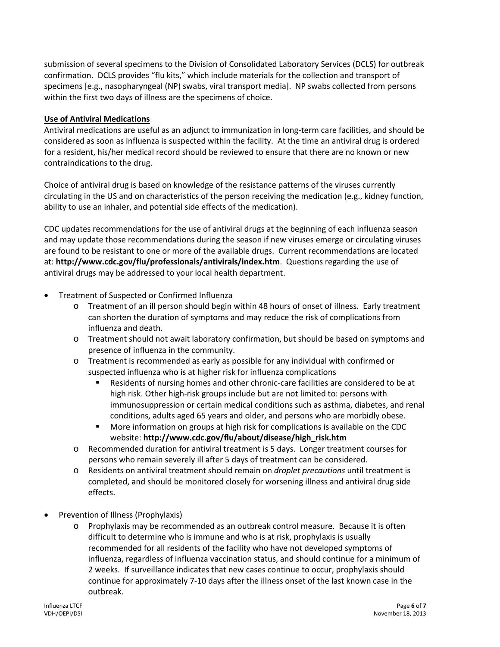submission of several specimens to the Division of Consolidated Laboratory Services (DCLS) for outbreak confirmation. DCLS provides "flu kits," which include materials for the collection and transport of specimens [e.g., nasopharyngeal (NP) swabs, viral transport media]. NP swabs collected from persons within the first two days of illness are the specimens of choice.

### **Use of Antiviral Medications**

Antiviral medications are useful as an adjunct to immunization in long-term care facilities, and should be considered as soon as influenza is suspected within the facility. At the time an antiviral drug is ordered for a resident, his/her medical record should be reviewed to ensure that there are no known or new contraindications to the drug.

Choice of antiviral drug is based on knowledge of the resistance patterns of the viruses currently circulating in the US and on characteristics of the person receiving the medication (e.g., kidney function, ability to use an inhaler, and potential side effects of the medication).

CDC updates recommendations for the use of antiviral drugs at the beginning of each influenza season and may update those recommendations during the season if new viruses emerge or circulating viruses are found to be resistant to one or more of the available drugs. Current recommendations are located at: **[http://www.cdc.gov/flu/professionals/antivirals/](http://www.cdc.gov/flu/professionals/antivirals)index.htm**. Questions regarding the use of antiviral drugs may be addressed to your local health department.

- Treatment of Suspected or Confirmed Influenza
	- o Treatment of an ill person should begin within 48 hours of onset of illness. Early treatment can shorten the duration of symptoms and may reduce the risk of complications from influenza and death.
	- o Treatment should not await laboratory confirmation, but should be based on symptoms and presence of influenza in the community.
	- o Treatment is recommended as early as possible for any individual with confirmed or suspected influenza who is at higher risk for influenza complications
		- Residents of nursing homes and other chronic-care facilities are considered to be at high risk. Other high-risk groups include but are not limited to: persons with immunosuppression or certain medical conditions such as asthma, diabetes, and renal conditions, adults aged 65 years and older, and persons who are morbidly obese.
		- **More information on groups at high risk for complications is available on the CDC** website: **http://www.cdc.gov/flu/about/disease/high\_risk.htm**
	- o Recommended duration for antiviral treatment is 5 days. Longer treatment courses for persons who remain severely ill after 5 days of treatment can be considered.
	- o Residents on antiviral treatment should remain on *droplet precautions* until treatment is completed, and should be monitored closely for worsening illness and antiviral drug side effects.
- Prevention of Illness (Prophylaxis)
	- Prophylaxis may be recommended as an outbreak control measure. Because it is often difficult to determine who is immune and who is at risk, prophylaxis is usually recommended for all residents of the facility who have not developed symptoms of influenza, regardless of influenza vaccination status, and should continue for a minimum of 2 weeks. If surveillance indicates that new cases continue to occur, prophylaxis should continue for approximately 7-10 days after the illness onset of the last known case in the outbreak.